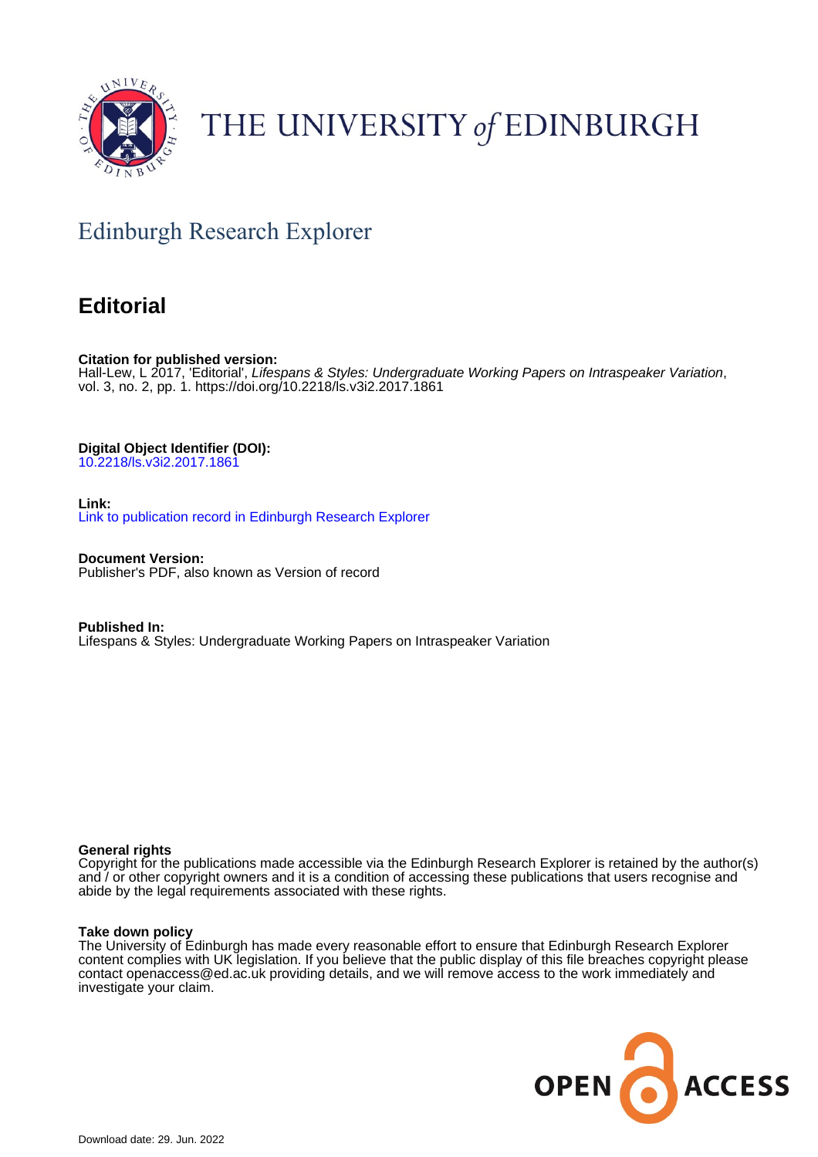

# THE UNIVERSITY of EDINBURGH

# Edinburgh Research Explorer

### **Editorial**

**Citation for published version:** Hall-Lew, L 2017, 'Editorial', Lifespans & Styles: Undergraduate Working Papers on Intraspeaker Variation, vol. 3, no. 2, pp. 1.<https://doi.org/10.2218/ls.v3i2.2017.1861>

**Digital Object Identifier (DOI):**

[10.2218/ls.v3i2.2017.1861](https://doi.org/10.2218/ls.v3i2.2017.1861)

**Link:**

[Link to publication record in Edinburgh Research Explorer](https://www.research.ed.ac.uk/en/publications/65cbf2c5-210e-4745-aa24-4fe2dc6ab8cd)

**Document Version:** Publisher's PDF, also known as Version of record

**Published In:** Lifespans & Styles: Undergraduate Working Papers on Intraspeaker Variation

#### **General rights**

Copyright for the publications made accessible via the Edinburgh Research Explorer is retained by the author(s) and / or other copyright owners and it is a condition of accessing these publications that users recognise and abide by the legal requirements associated with these rights.

#### **Take down policy**

The University of Edinburgh has made every reasonable effort to ensure that Edinburgh Research Explorer content complies with UK legislation. If you believe that the public display of this file breaches copyright please contact openaccess@ed.ac.uk providing details, and we will remove access to the work immediately and investigate your claim.

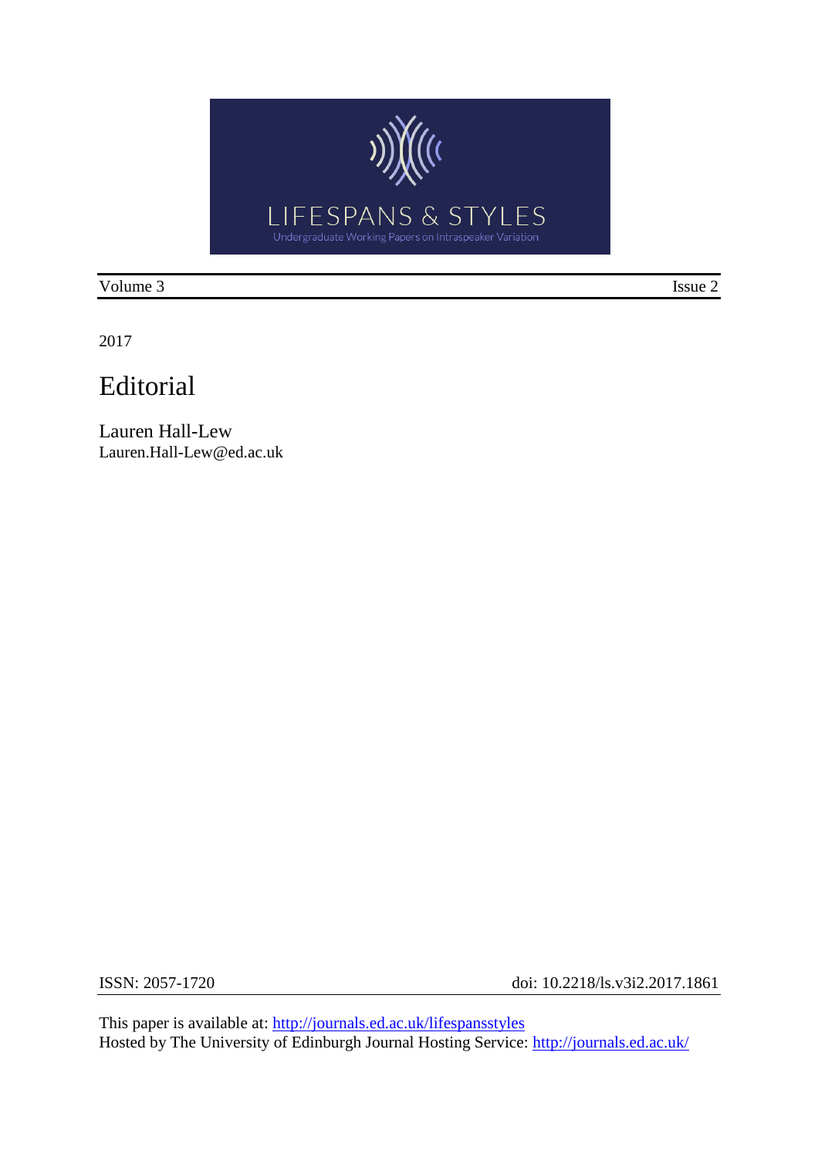

Volume 3 Issue 2

2017

## Editorial

Lauren Hall-Lew Lauren.Hall-Lew@ed.ac.uk

ISSN: 2057-1720 doi: 10.2218/ls.v3i2.2017.1861

This paper is available at:<http://journals.ed.ac.uk/lifespansstyles> Hosted by The University of Edinburgh Journal Hosting Service:<http://journals.ed.ac.uk/>